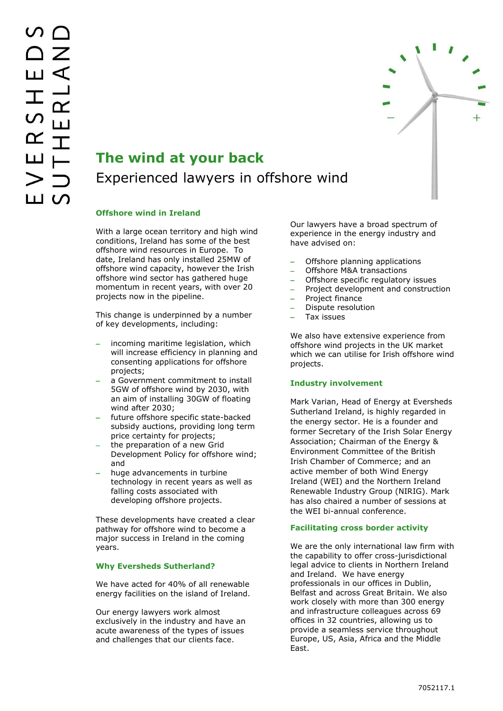

# **The wind at your back** Experienced lawyers in offshore wind

## **Offshore wind in Ireland**

With a large ocean territory and high wind conditions, Ireland has some of the best offshore wind resources in Europe. To date, Ireland has only installed 25MW of offshore wind capacity, however the Irish offshore wind sector has gathered huge momentum in recent years, with over 20 projects now in the pipeline.

This change is underpinned by a number of key developments, including:

- incoming maritime legislation, which will increase efficiency in planning and consenting applications for offshore projects;
- a Government commitment to install 5GW of offshore wind by 2030, with an aim of installing 30GW of floating wind after 2030;
- future offshore specific state-backed subsidy auctions, providing long term price certainty for projects;
- the preparation of a new Grid Development Policy for offshore wind; and
- huge advancements in turbine technology in recent years as well as falling costs associated with developing offshore projects.

These developments have created a clear pathway for offshore wind to become a major success in Ireland in the coming years.

## **Why Eversheds Sutherland?**

We have acted for 40% of all renewable energy facilities on the island of Ireland.

Our energy lawyers work almost exclusively in the industry and have an acute awareness of the types of issues and challenges that our clients face.

Our lawyers have a broad spectrum of experience in the energy industry and have advised on:

- Offshore planning applications
- Offshore M&A transactions
- Offshore specific regulatory issues
- Project development and construction
- Project finance
- Dispute resolution
- Tax issues

We also have extensive experience from offshore wind projects in the UK market which we can utilise for Irish offshore wind projects.

## **Industry involvement**

Mark Varian, Head of Energy at Eversheds Sutherland Ireland, is highly regarded in the energy sector. He is a founder and former Secretary of the Irish Solar Energy Association; Chairman of the Energy & Environment Committee of the British Irish Chamber of Commerce; and an active member of both Wind Energy Ireland (WEI) and the Northern Ireland Renewable Industry Group (NIRIG). Mark has also chaired a number of sessions at the WEI bi-annual conference.

## **Facilitating cross border activity**

We are the only international law firm with the capability to offer cross-jurisdictional legal advice to clients in Northern Ireland and Ireland. We have energy professionals in our offices in Dublin, Belfast and across Great Britain. We also work closely with more than 300 energy and infrastructure colleagues across 69 offices in 32 countries, allowing us to provide a seamless service throughout Europe, US, Asia, Africa and the Middle East.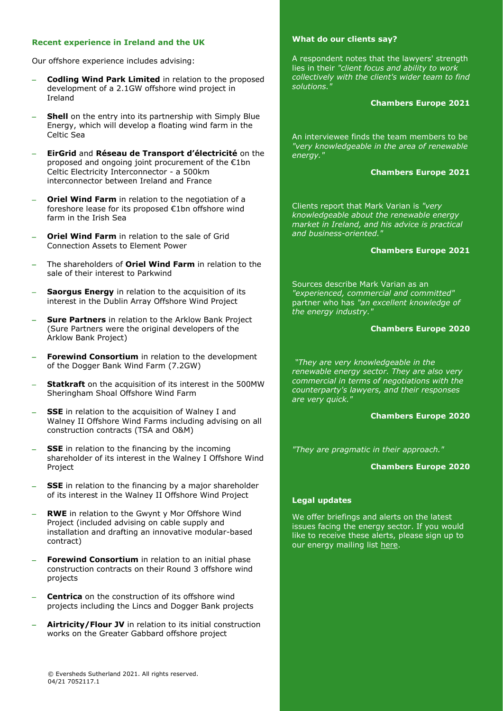## **Recent experience in Ireland and the UK**

Our offshore experience includes advising:

- **Codling Wind Park Limited** in relation to the proposed development of a 2.1GW offshore wind project in Ireland
- **Shell** on the entry into its partnership with Simply Blue Energy, which will develop a floating wind farm in the Celtic Sea
- **EirGrid** and **Réseau de Transport d'électricité** on the proposed and ongoing joint procurement of the €1bn Celtic Electricity Interconnector - a 500km interconnector between Ireland and France
- **Oriel Wind Farm** in relation to the negotiation of a foreshore lease for its proposed €1bn offshore wind farm in the Irish Sea
- **Oriel Wind Farm** in relation to the sale of Grid Connection Assets to Element Power
- The shareholders of **Oriel Wind Farm** in relation to the sale of their interest to Parkwind
- **Saorgus Energy** in relation to the acquisition of its interest in the Dublin Array Offshore Wind Project
- **Sure Partners** in relation to the Arklow Bank Project (Sure Partners were the original developers of the Arklow Bank Project)
- **Forewind Consortium** in relation to the development of the Dogger Bank Wind Farm (7.2GW)
- **Statkraft** on the acquisition of its interest in the 500MW Sheringham Shoal Offshore Wind Farm
- **SSE** in relation to the acquisition of Walney I and Walney II Offshore Wind Farms including advising on all construction contracts (TSA and O&M)
- **SSE** in relation to the financing by the incoming shareholder of its interest in the Walney I Offshore Wind Project
- **SSE** in relation to the financing by a major shareholder of its interest in the Walney II Offshore Wind Project
- **RWE** in relation to the Gwynt y Mor Offshore Wind Project (included advising on cable supply and installation and drafting an innovative modular-based contract)
- **Forewind Consortium** in relation to an initial phase construction contracts on their Round 3 offshore wind projects
- **Centrica** on the construction of its offshore wind projects including the Lincs and Dogger Bank projects
- **Airtricity/Flour JV** in relation to its initial construction works on the Greater Gabbard offshore project

## **What do our clients say?**

A respondent notes that the lawyers' strength lies in their *"client focus and ability to work collectively with the client's wider team to find solutions."*

#### **Chambers Europe 2021**

An interviewee finds the team members to be *"very knowledgeable in the area of renewable energy."*

## **Chambers Europe 2021**

Clients report that Mark Varian is *"very knowledgeable about the renewable energy market in Ireland, and his advice is practical and business-oriented."*

#### **Chambers Europe 2021**

Sources describe Mark Varian as an *"experienced, commercial and committed"*  partner who has *"an excellent knowledge of the energy industry."*

### **Chambers Europe 2020**

*"They are very knowledgeable in the renewable energy sector. They are also very commercial in terms of negotiations with the counterparty's lawyers, and their responses are very quick."*

#### **Chambers Europe 2020**

*"They are pragmatic in their approach."*

#### **Chambers Europe 2020**

## **Legal updates**

We offer briefings and alerts on the latest issues facing the energy sector. If you would like to receive these alerts, please sign up to our energy mailing list [here.](https://www.eversheds-sutherland.com/global/en/where/europe/ireland/overview/subscribe.page?)

© Eversheds Sutherland 2021. All rights reserved. 04/21 7052117.1